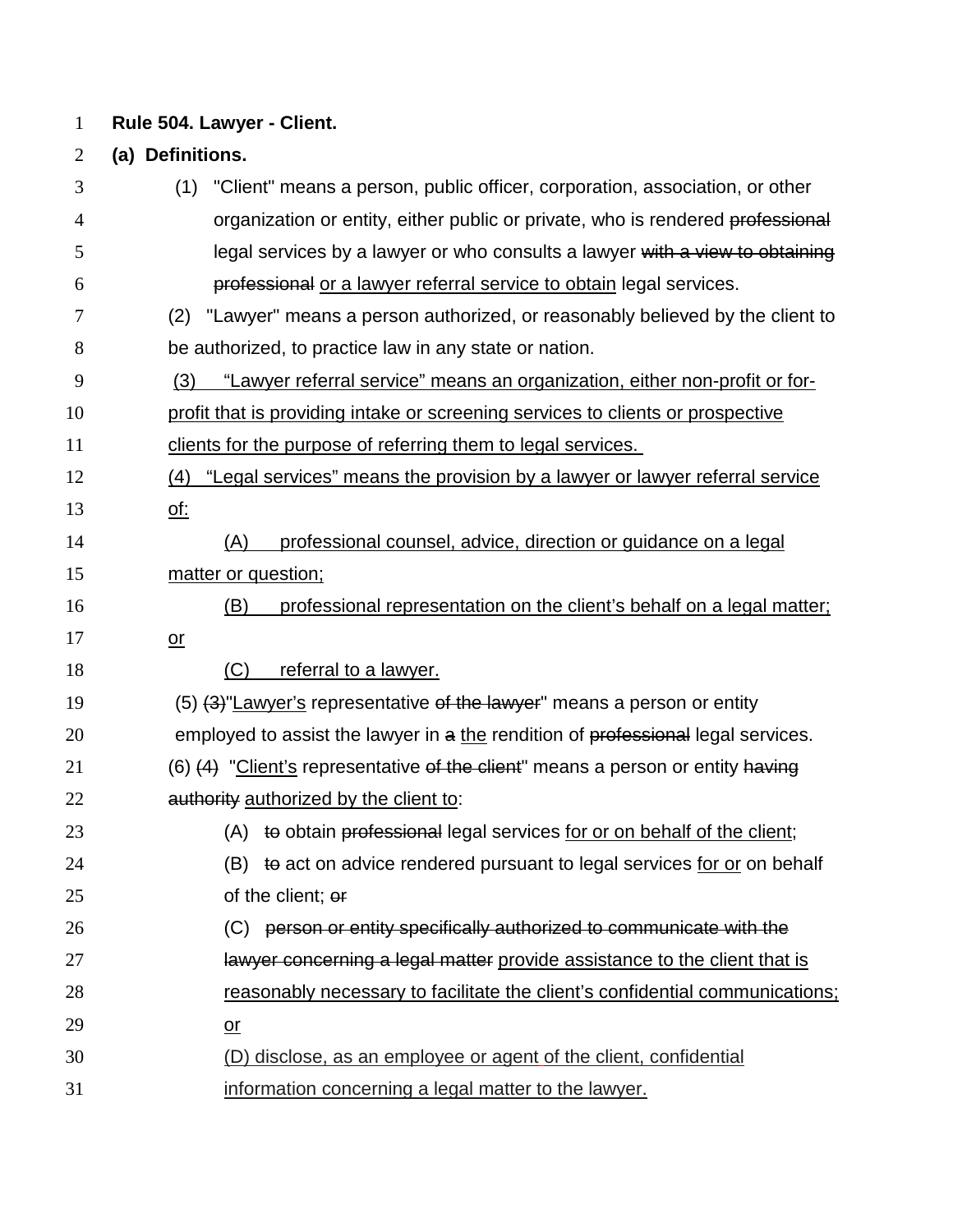**Rule 504. Lawyer - Client.**

**(a) Definitions.**

 (1) "Client" means a person, public officer, corporation, association, or other 4 organization or entity, either public or private, who is rendered professional **1992** legal services by a lawyer or who consults a lawyer with a view to obtaining professional or a lawyer referral service to obtain legal services. (2) "Lawyer" means a person authorized, or reasonably believed by the client to be authorized, to practice law in any state or nation. (3) "Lawyer referral service" means an organization, either non-profit or for- profit that is providing intake or screening services to clients or prospective clients for the purpose of referring them to legal services. (4) "Legal services" means the provision by a lawyer or lawyer referral service of: (A) professional counsel, advice, direction or guidance on a legal matter or question; (B) professional representation on the client's behalf on a legal matter; or 18 (C) referral to a lawyer. 19 (5) (3) Lawyer's representative of the lawyer" means a person or entity 20 employed to assist the lawyer in a the rendition of professional legal services.  $(6)$   $(4)$  "Client's representative of the client" means a person or entity having **authority** authorized by the client to: 23 (A) to obtain professional legal services for or on behalf of the client; 24 (B) to act on advice rendered pursuant to legal services for or on behalf of the client; or (C) person or entity specifically authorized to communicate with the **Ignorian in the search is a legal matter provide assistance to the client that is** 28 reasonably necessary to facilitate the client's confidential communications; or (D) disclose, as an employee or agent of the client, confidential information concerning a legal matter to the lawyer.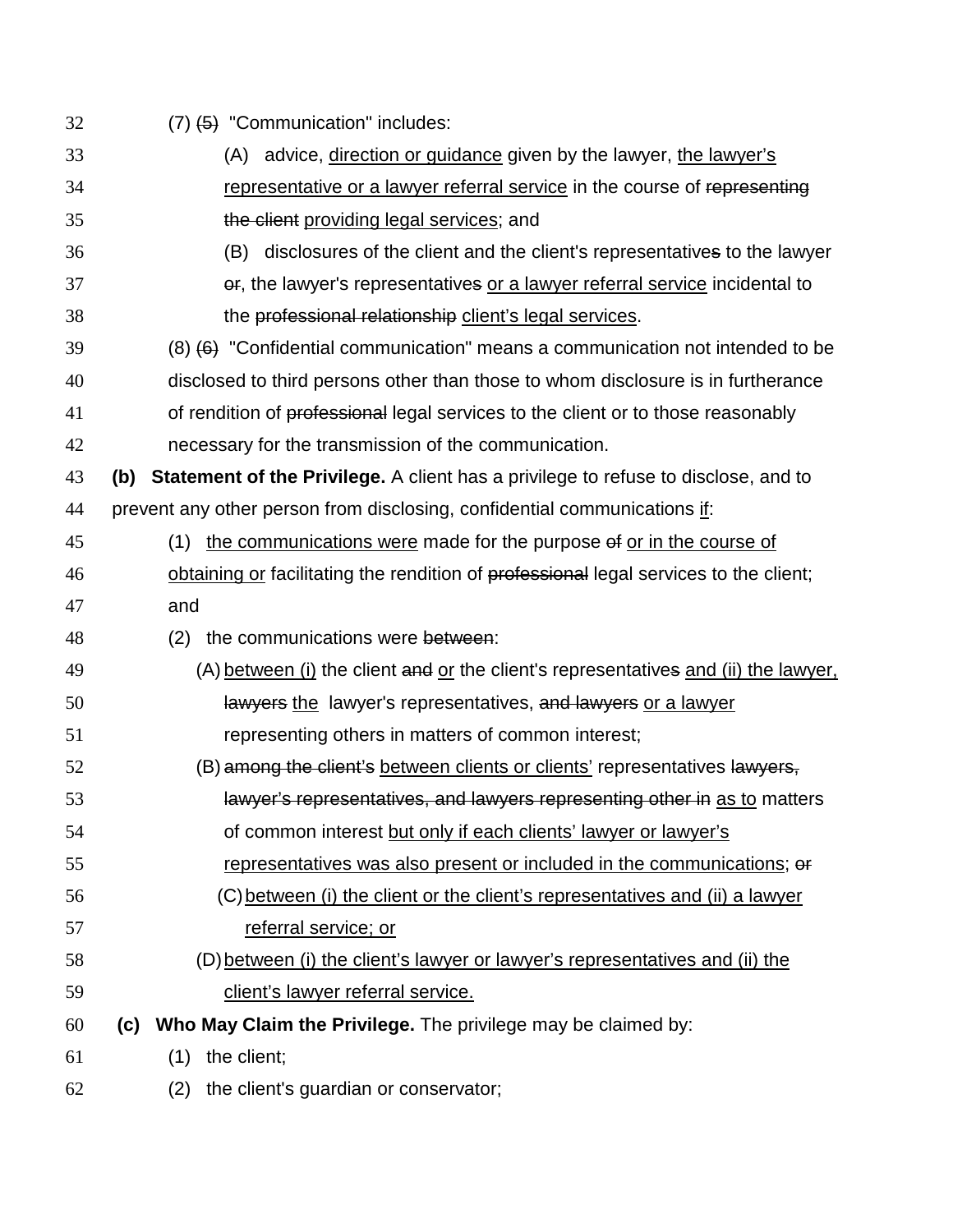| 32 | $(7)$ $(4)$ "Communication" includes:                                                            |
|----|--------------------------------------------------------------------------------------------------|
| 33 | (A) advice, direction or guidance given by the lawyer, the lawyer's                              |
| 34 | representative or a lawyer referral service in the course of representing                        |
| 35 | the client providing legal services; and                                                         |
| 36 | disclosures of the client and the client's representatives to the lawyer<br>(B)                  |
| 37 | er, the lawyer's representatives or a lawyer referral service incidental to                      |
| 38 | the professional relationship client's legal services.                                           |
| 39 | $(8)$ $(6)$ "Confidential communication" means a communication not intended to be                |
| 40 | disclosed to third persons other than those to whom disclosure is in furtherance                 |
| 41 | of rendition of professional legal services to the client or to those reasonably                 |
| 42 | necessary for the transmission of the communication.                                             |
| 43 | <b>Statement of the Privilege.</b> A client has a privilege to refuse to disclose, and to<br>(b) |
| 44 | prevent any other person from disclosing, confidential communications if:                        |
| 45 | the communications were made for the purpose of or in the course of<br>(1)                       |
| 46 | obtaining or facilitating the rendition of professional legal services to the client;            |
| 47 | and                                                                                              |
| 48 | the communications were between:<br>(2)                                                          |
| 49 | (A) between (i) the client and or the client's representatives and (ii) the lawyer,              |
| 50 | lawyers the lawyer's representatives, and lawyers or a lawyer                                    |
| 51 | representing others in matters of common interest;                                               |
| 52 | (B) among the client's between clients or clients' representatives lawyers,                      |
| 53 | lawyer's representatives, and lawyers representing other in as to matters                        |
| 54 | of common interest but only if each clients' lawyer or lawyer's                                  |
| 55 | representatives was also present or included in the communications; or                           |
| 56 | (C) between (i) the client or the client's representatives and (ii) a lawyer                     |
| 57 | referral service; or                                                                             |
| 58 | (D) between (i) the client's lawyer or lawyer's representatives and (ii) the                     |
| 59 | client's lawyer referral service.                                                                |
| 60 | <b>Who May Claim the Privilege.</b> The privilege may be claimed by:<br>(c)                      |
| 61 | the client;<br>(1)                                                                               |
| 62 | the client's guardian or conservator;<br>(2)                                                     |